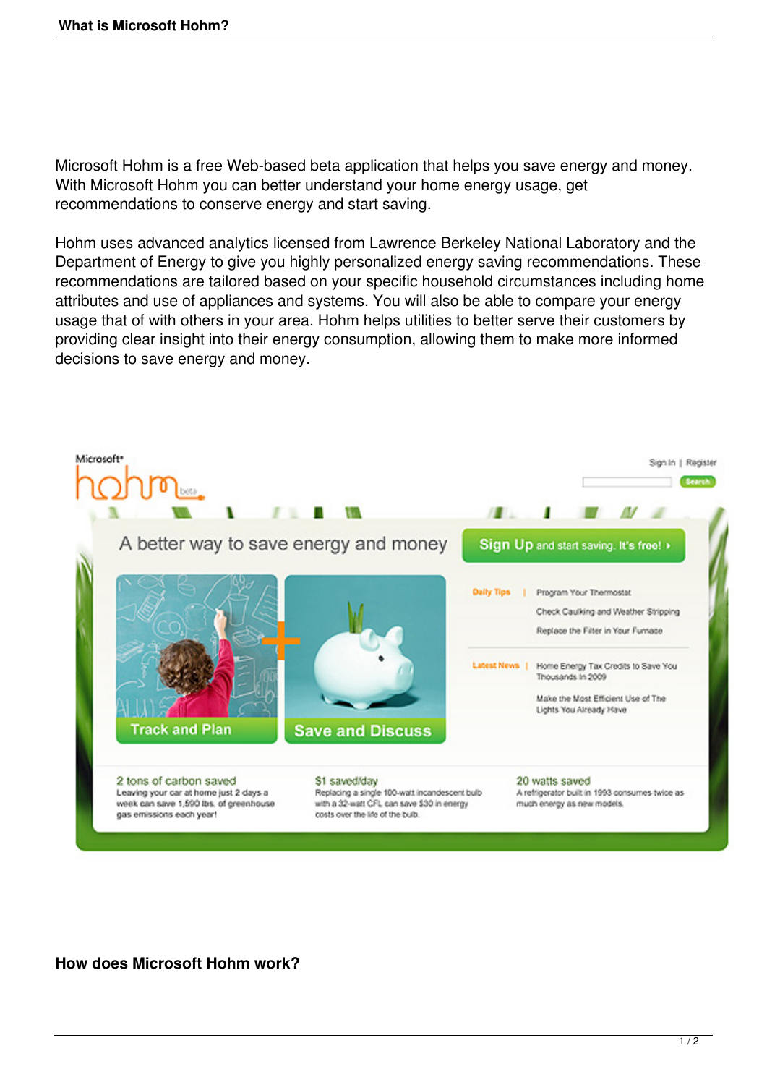Microsoft Hohm is a free Web-based beta application that helps you save energy and money. With Microsoft Hohm you can better understand your home energy usage, get recommendations to conserve energy and start saving.

Hohm uses advanced analytics licensed from Lawrence Berkeley National Laboratory and the Department of Energy to give you highly personalized energy saving recommendations. These recommendations are tailored based on your specific household circumstances including home attributes and use of appliances and systems. You will also be able to compare your energy usage that of with others in your area. Hohm helps utilities to better serve their customers by providing clear insight into their energy consumption, allowing them to make more informed decisions to save energy and money.



**How does Microsoft Hohm work?**